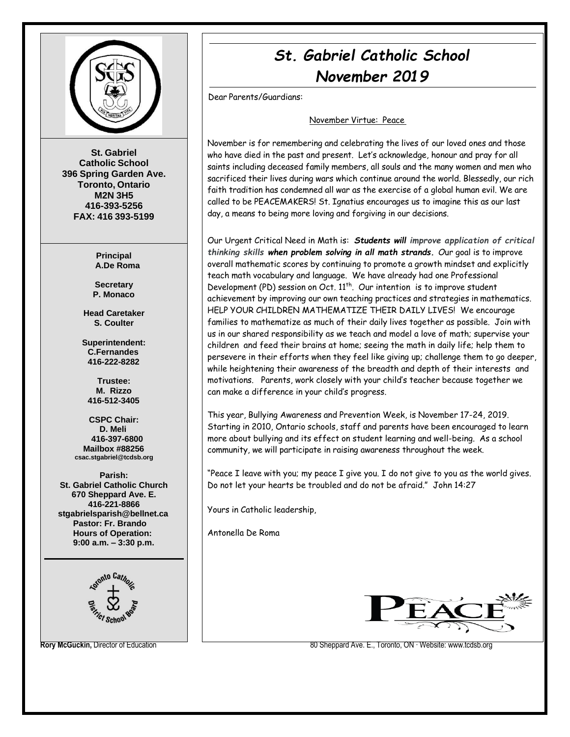

**St. Gabriel Catholic School 396 Spring Garden Ave. Toronto, Ontario M2N 3H5 416-393-5256 FAX: 416 393-5199**

> **Principal A.De Roma**

**Secretary P. Monaco**

**Head Caretaker S. Coulter**

**Superintendent: C.Fernandes 416-222-8282**

**Trustee: M. Rizzo 416-512-3405**

**CSPC Chair: D. Meli 416-397-6800 Mailbox #88256 [csac.stgabriel@tcdsb.org](mailto:csac.stgabriel@tcdsb.org)**

**Parish: St. Gabriel Catholic Church 670 Sheppard Ave. E. 416-221-8866 [stgabrielsparish@bellnet.ca](mailto:stgabrielsparish@bellnet.ca) Pastor: Fr. Brando Hours of Operation: 9:00 a.m. – 3:30 p.m.**



# *St. Gabriel Catholic School November 2019*

Dear Parents/Guardians:

#### November Virtue: Peace

November is for remembering and celebrating the lives of our loved ones and those who have died in the past and present. Let's acknowledge, honour and pray for all saints including deceased family members, all souls and the many women and men who sacrificed their lives during wars which continue around the world. Blessedly, our rich faith tradition has condemned all war as the exercise of a global human evil. We are called to be PEACEMAKERS! St. Ignatius encourages us to imagine this as our last day, a means to being more loving and forgiving in our decisions.

Our Urgent Critical Need in Math is: *Students will improve application of critical thinking skills when problem solving in all math strands. O*ur goal is to improve overall mathematic scores by continuing to promote a growth mindset and explicitly teach math vocabulary and language. We have already had one Professional Development (PD) session on Oct. 11<sup>th</sup>. Our intention is to improve student achievement by improving our own teaching practices and strategies in mathematics. HELP YOUR CHILDREN MATHEMATIZE THEIR DAILY LIVES! We encourage families to mathematize as much of their daily lives together as possible. Join with us in our shared responsibility as we teach and model a love of math; supervise your children and feed their brains at home; seeing the math in daily life; help them to persevere in their efforts when they feel like giving up; challenge them to go deeper, while heightening their awareness of the breadth and depth of their interests and motivations. Parents, work closely with your child's teacher because together we can make a difference in your child's progress.

This year, Bullying Awareness and Prevention Week, is November 17-24, 2019. Starting in 2010, Ontario schools, staff and parents have been encouraged to learn more about bullying and its effect on student learning and well-being. As a school community, we will participate in raising awareness throughout the week.

"Peace I leave with you; my peace I give you. I do not give to you as the world gives. Do not let your hearts be troubled and do not be afraid." John 14:27

Yours in Catholic leadership,

Antonella De Roma



**Rory McGuckin, Director of Education 80 Sheppard Ave. E., Toronto, ON ⋅ Website[: www.tcdsb.org](http://www.tcdsb.org/)**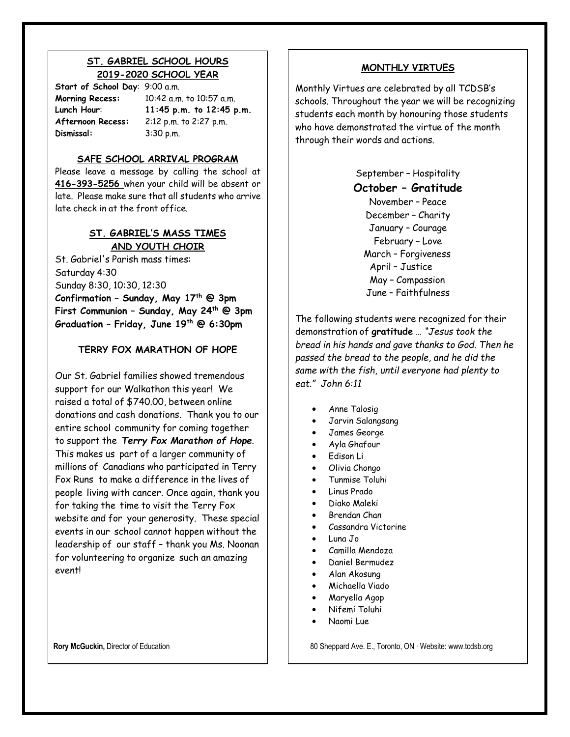### **ST. GABRIEL SCHOOL HOURS 2019-2020 SCHOOL YEAR**

**Start of School Day**: 9:00 a.m. **Dismissal:** 3:30 p.m.

**Morning Recess:** 10:42 a.m. to 10:57 a.m. **Lunch Hour**: **11:45 p.m. to 12:45 p.m. Afternoon Recess:** 2:12 p.m. to 2:27 p.m.

### **SAFE SCHOOL ARRIVAL PROGRAM**

Please leave a message by calling the school at **416-393-5256** when your child will be absent or late. Please make sure that all students who arrive late check in at the front office.

### **ST. GABRIEL'S MASS TIMES AND YOUTH CHOIR**

St. Gabriel's Parish mass times: Saturday 4:30 Sunday 8:30, 10:30, 12:30 **Confirmation – Sunday, May 17th @ 3pm First Communion – Sunday, May 24 th @ 3pm Graduation – Friday, June 19th @ 6:30pm**

### **TERRY FOX MARATHON OF HOPE**

Our St. Gabriel families showed tremendous support for our Walkathon this year! We raised a total of \$740.00, between online donations and cash donations. Thank you to our entire school community for coming together to support the *Terry Fox Marathon of Hope*. This makes us part of a larger community of millions of Canadians who participated in Terry Fox Runs to make a difference in the lives of people living with cancer. Once again, thank you for taking the time to visit the Terry Fox website and for your generosity. These special events in our school cannot happen without the leadership of our staff – thank you Ms. Noonan for volunteering to organize such an amazing event!

#### **MONTHLY VIRTUES**

Monthly Virtues are celebrated by all TCDSB's schools. Throughout the year we will be recognizing students each month by honouring those students who have demonstrated the virtue of the month through their words and actions.

> September – Hospitality **October – Gratitude** November – Peace December – Charity January – Courage February – Love March – Forgiveness April – Justice May – Compassion June – Faithfulness

The following students were recognized for their demonstration of **gratitude** … *"Jesus took the bread in his hands and gave thanks to God. Then he passed the bread to the people, and he did the same with the fish, until everyone had plenty to eat." John 6:11*

- Anne Talosig
- Jarvin Salangsang
- James George
- Ayla Ghafour
- Edison Li
- Olivia Chongo
- Tunmise Toluhi
- Linus Prado
- Diako Maleki
- Brendan Chan
- Cassandra Victorine
- Luna Jo
- Camilla Mendoza
- Daniel Bermudez
- Alan Akosung
- Michaella Viado
- Maryella Agop
- Nifemi Toluhi
- Naomi Lue

**Rory McGuckin,** Director of Education 80 Sheppard Ave. E., Toronto, ON ⋅ Website: [www.tcdsb.org](http://www.tcdsb.org/)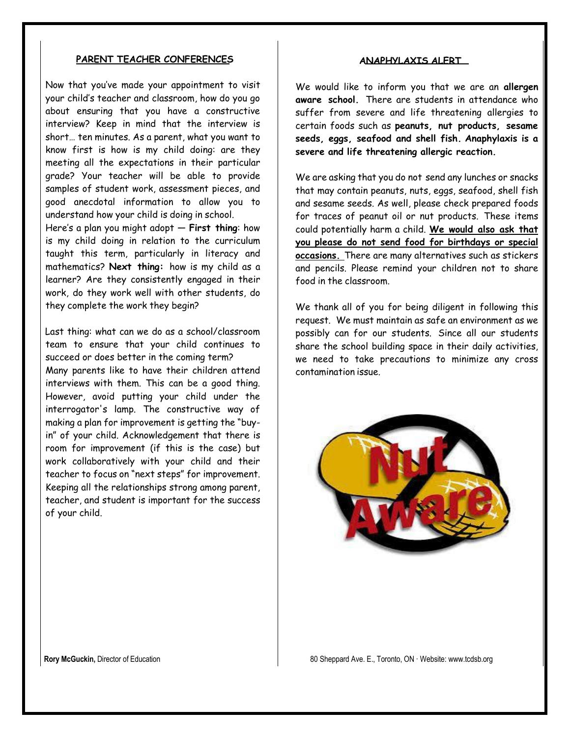#### **PARENT TEACHER CONFERENCES**

Now that you've made your appointment to visit your child's teacher and classroom, how do you go about ensuring that you have a constructive interview? Keep in mind that the interview is short… ten minutes. As a parent, what you want to know first is how is my child doing: are they meeting all the expectations in their particular grade? Your teacher will be able to provide samples of student work, assessment pieces, and good anecdotal information to allow you to understand how your child is doing in school.

Here's a plan you might adopt — **First thing**: how is my child doing in relation to the curriculum taught this term, particularly in literacy and mathematics? **Next thing:** how is my child as a learner? Are they consistently engaged in their work, do they work well with other students, do they complete the work they begin?

 Last thing: what can we do as a school/classroom team to ensure that your child continues to succeed or does better in the coming term? Many parents like to have their children attend interviews with them. This can be a good thing. However, avoid putting your child under the interrogator's lamp. The constructive way of making a plan for improvement is getting the "buyin" of your child. Acknowledgement that there is room for improvement (if this is the case) but work collaboratively with your child and their teacher to focus on "next steps" for improvement. Keeping all the relationships strong among parent, teacher, and student is important for the success of your child.

#### **ANAPHYLAXIS ALERT**

We would like to inform you that we are an **allergen aware school.** There are students in attendance who suffer from severe and life threatening allergies to certain foods such as **peanuts, nut products, sesame seeds, eggs, seafood and shell fish. Anaphylaxis is a severe and life threatening allergic reaction.**

We are asking that you do not send any lunches or snacks that may contain peanuts, nuts, eggs, seafood, shell fish and sesame seeds. As well, please check prepared foods for traces of peanut oil or nut products. These items could potentially harm a child. **We would also ask that you please do not send food for birthdays or special occasions.** There are many alternatives such as stickers and pencils. Please remind your children not to share food in the classroom.

We thank all of you for being diligent in following this request. We must maintain as safe an environment as we possibly can for our students. Since all our students share the school building space in their daily activities, we need to take precautions to minimize any cross contamination issue.

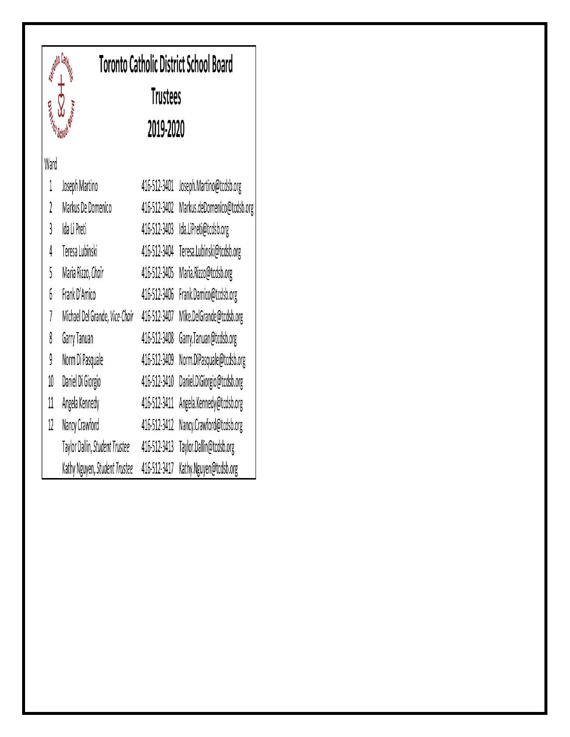

Ward

 $\mathbf{1}$ 

 $\iota$ 

 $\mathfrak{z}$ 

4

5

6

 $\overline{1}$ 

8

9

10

11

 $12$ 

Daniel Di Giorgio

Angela Kennedy

Nancy Crawford

## **Toronto Catholic District School Board Trustees** 2019-2020 Joseph Martino 416-512-3401 Joseph.Martino@tcdsb.org 416-512-3402 Markus.deDomenico@tcdsb.org Markus De Domenico 416-512-3403 Ida.LiPreti@tcdsb.org Ida Li Preti 416-512-3404 Teresa.Lubinski@tcdsb.org Teresa Lubinski Maria Rizzo, Chair 416-512-3405 Maria.Rizzo@tcdsb.org Frank D'Amico 416-512-3406 Frank.Damico@tcdsb.org Michael Del Grande, Vice-Chair 416-512-3407 Mike.DelGrande@tcdsb.org 416-512-3408 Garry.Tanuan@tcdsb.org Garry Tanuan Norm Di Pasquale 416-512-3409 Norm.DiPasquale@tcdsb.org

416-512-3410 Daniel.DiGiorgio@tcdsb.org

416-512-3411 Angela.Kennedy@tcdsb.org

416-512-3412 Nancy.Crawford@tcdsb.org

Taylor Dallin, Student Trustee 416-512-3413 Taylor.Dallin@tcdsb.org

Kathy Nguyen, Student Trustee 416-512-3417 Kathy.Nguyen@tcdsb.org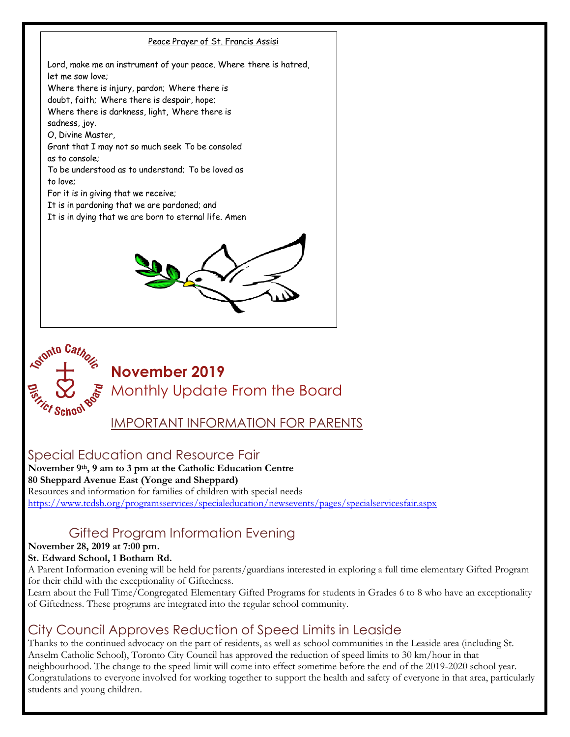



**November 2019**  Monthly Update From the Board

IMPORTANT INFORMATION FOR PARENTS

## Special Education and Resource Fair

**November 9th, 9 am to 3 pm at the Catholic Education Centre 80 Sheppard Avenue East (Yonge and Sheppard)** Resources and information for families of children with special needs <https://www.tcdsb.org/programsservices/specialeducation/newsevents/pages/specialservicesfair.aspx>

## Gifted Program Information Evening

### **November 28, 2019 at 7:00 pm.**

### **St. Edward School, 1 Botham Rd.**

A Parent Information evening will be held for parents/guardians interested in exploring a full time elementary Gifted Program for their child with the exceptionality of Giftedness.

Learn about the Full Time/Congregated Elementary Gifted Programs for students in Grades 6 to 8 who have an exceptionality of Giftedness. These programs are integrated into the regular school community.

## City Council Approves Reduction of Speed Limits in Leaside

Thanks to the continued advocacy on the part of residents, as well as school communities in the Leaside area (including St. Anselm Catholic School), Toronto City Council has approved the reduction of speed limits to 30 km/hour in that neighbourhood. The change to the speed limit will come into effect sometime before the end of the 2019-2020 school year. Congratulations to everyone involved for working together to support the health and safety of everyone in that area, particularly students and young children.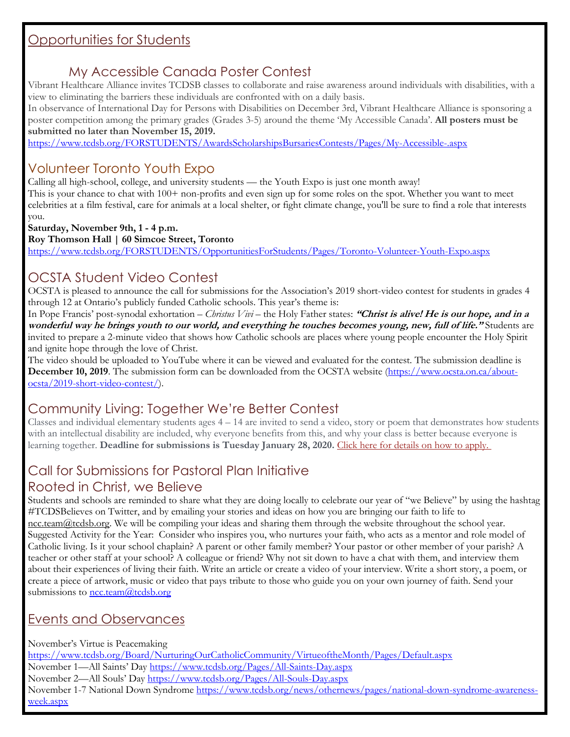### Opportunities for Students

## My Accessible Canada Poster Contest

Vibrant Healthcare Alliance invites TCDSB classes to collaborate and raise awareness around individuals with disabilities, with a view to eliminating the barriers these individuals are confronted with on a daily basis.

In observance of International Day for Persons with Disabilities on December 3rd, Vibrant Healthcare Alliance is sponsoring a poster competition among the primary grades (Grades 3-5) around the theme 'My Accessible Canada'. **All posters must be submitted no later than November 15, 2019.**

<https://www.tcdsb.org/FORSTUDENTS/AwardsScholarshipsBursariesContests/Pages/My-Accessible-.aspx>

## Volunteer Toronto Youth Expo

Calling all high-school, college, and university students — the Youth Expo is just one month away! This is your chance to chat with 100+ non-profits and even sign up for some roles on the spot. Whether you want to meet celebrities at a film festival, care for animals at a local shelter, or fight climate change, you'll be sure to find a role that interests you.

**Saturday, November 9th, 1 - 4 p.m. Roy Thomson Hall | 60 Simcoe Street, Toronto**  <https://www.tcdsb.org/FORSTUDENTS/OpportunitiesForStudents/Pages/Toronto-Volunteer-Youth-Expo.aspx>

## OCSTA Student Video Contest

OCSTA is pleased to announce the call for submissions for the Association's 2019 short-video contest for students in grades 4 through 12 at Ontario's publicly funded Catholic schools. This year's theme is:

In Pope Francis' post-synodal exhortation – *Christus Vivi* – the Holy Father states: **"Christ is alive! He is our hope, and in a wonderful way he brings youth to our world, and everything he touches becomes young, new, full of life."** Students are invited to prepare a 2-minute video that shows how Catholic schools are places where young people encounter the Holy Spirit and ignite hope through the love of Christ.

The video should be uploaded to YouTube where it can be viewed and evaluated for the contest. The submission deadline is **December 10, 2019**. The submission form can be downloaded from the OCSTA website [\(https://www.ocsta.on.ca/about](https://www.ocsta.on.ca/about-ocsta/2019-short-video-contest/)[ocsta/2019-short-video-contest/\)](https://www.ocsta.on.ca/about-ocsta/2019-short-video-contest/).

## Community Living: Together We're Better Contest

Classes and individual elementary students ages  $4 - 14$  are invited to send a video, story or poem that demonstrates how students with an intellectual disability are included, why everyone benefits from this, and why your class is better because everyone is learning together. **Deadline for submissions is Tuesday January 28, 2020.** [Click here for details on how to apply.](https://t.e2ma.net/click/1h6bwb/pkw0ine/9zlaup)

### Call for Submissions for Pastoral Plan Initiative Rooted in Christ, we Believe

Students and schools are reminded to share what they are doing locally to celebrate our year of "we Believe" by using the hashtag #TCDSBelieves on Twitter, and by emailing your stories and ideas on how you are bringing our faith to life to ncc.team $@$ tcdsb.org. We will be compiling your ideas and sharing them through the website throughout the school year. Suggested Activity for the Year: Consider who inspires you, who nurtures your faith, who acts as a mentor and role model of Catholic living. Is it your school chaplain? A parent or other family member? Your pastor or other member of your parish? A teacher or other staff at your school? A colleague or friend? Why not sit down to have a chat with them, and interview them about their experiences of living their faith. Write an article or create a video of your interview. Write a short story, a poem, or create a piece of artwork, music or video that pays tribute to those who guide you on your own journey of faith. Send your submissions to  $ncc.$ team@tcdsb.org

## Events and Observances

November's Virtue is Peacemaking

<https://www.tcdsb.org/Board/NurturingOurCatholicCommunity/VirtueoftheMonth/Pages/Default.aspx>

November 1—All Saints' Day <https://www.tcdsb.org/Pages/All-Saints-Day.aspx>

November 2—All Souls' Day <https://www.tcdsb.org/Pages/All-Souls-Day.aspx>

November 1-7 National Down Syndrome [https://www.tcdsb.org/news/othernews/pages/national-down-syndrome-awareness](https://www.tcdsb.org/news/othernews/pages/national-down-syndrome-awareness-week.aspx)[week.aspx](https://www.tcdsb.org/news/othernews/pages/national-down-syndrome-awareness-week.aspx)